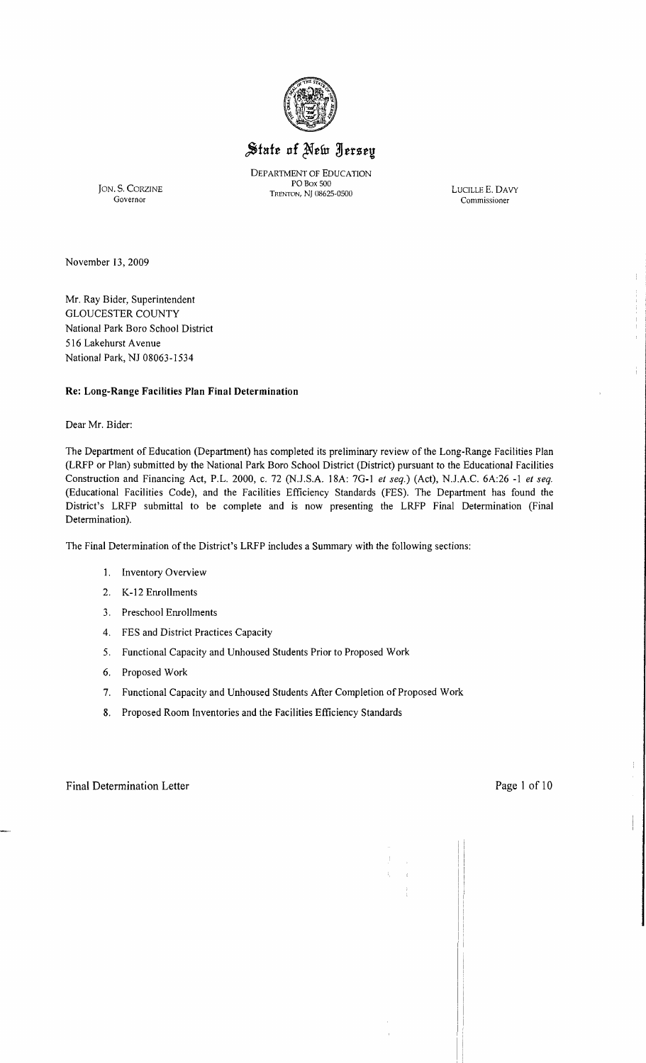

# State of New Jersey

DEPARTMENT OF EDUCATION POBox 500 TRENTON, NJ 08625-0500 JON. S. CORZINE LUCILLE E. DAVY TRENTON, NJ 08625-0500 Governor Commissioner

 $\frac{1}{4}$ 

÷

November 13,2009

Mr. Ray Bider, Superintendent GLOUCESTER COUNTY National Park Bora School District 516 Lakehurst Avenue National Park, NJ 08063-1534

### **Re: Long-Range Facilities Plan Final Determination**

Dear Mr. Bider:

The Department of Education (Department) has completed its preliminary review of the Long-Range Facilities Plan (LRFP or Plan) submitted by the National Park Boro School District (District) pursuant to the Educational Facilities Construction and Financing Act, P.L. 2000, c. 72 (NJ.SA 18A: 7G-1 *et seq.)* (Act), NJ.A.C. 6A:26 -1 *et seq.*  (Educational Facilities Code), and the Facilities Efficiency Standards (FES). The Department has found the District's LRFP submittal to be complete and is now presenting the LRFP Final Determination (Final Determination).

The Final Determination of the District's LRFP includes a Summary with the following sections:

- 1. Inventory Overview
- 2. K-12 Enrollments
- 3. Preschool Enrollments
- 4. FES and District Practices Capacity
- 5. Functional Capacity and Unhoused Students Prior to Proposed Work
- 6. Proposed Work
- 7. Functional Capacity and Unhoused Students After Completion of Proposed Work
- 8. Proposed Room Inventories and the Facilities Efficiency Standards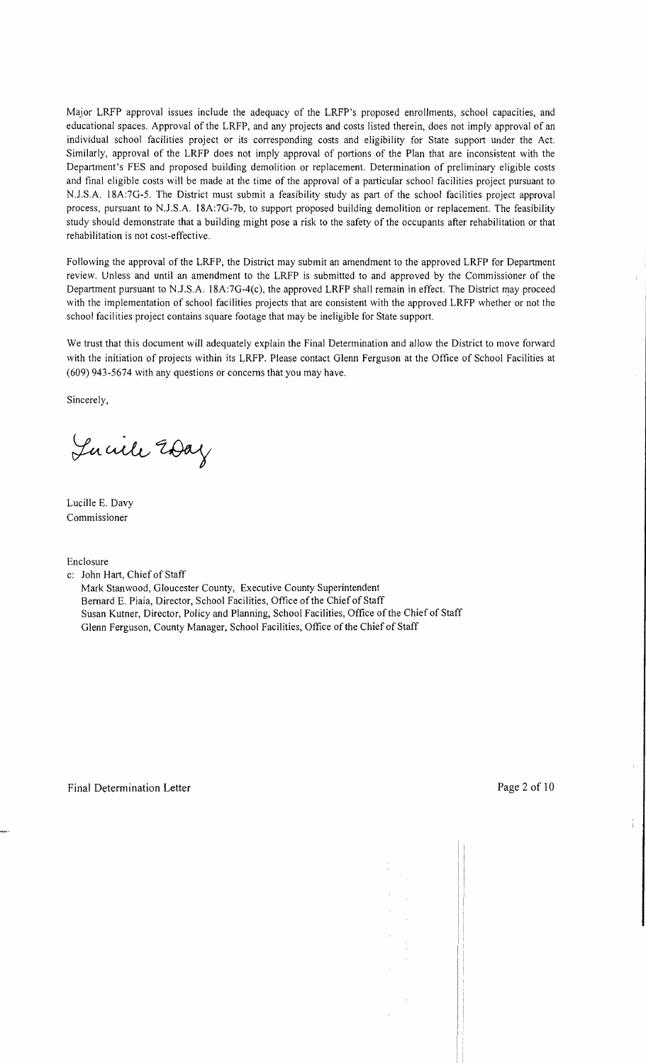Major LRFP approval issues include the adequacy of the LRFP's proposed enrollments, school capacities, and educational spaces. Approval of the LRFP, and any projects and costs listed therein, does not imply approval of an individual school facilities project or its corresponding costs and eligibility for State support under the Act. Similarly, approval of the LRFP does not imply approval of portions of the Plan that are inconsistent with the Department's FES and proposed building demolition or replacement. Determination of preliminary eligible costs and final eligible costs will be made at the time of the approval of a particular school facilities project pursuant to N.J.S.A. 18A:7G-5. The District must submit a feasibility study as part of the school facilities project approval process, pursuant to N.J .S.A. 18A:7G-7b, to support proposed building demolition or replacement. The feasibility study should demonstrate that a building might pose a risk to the safety of the occupants after rehabilitation or that rehabilitation is not cost-effective.

Following the approval of the LRFP, the District may submit an amendment to the approved LRFP for Department review. Unless and until an amendment to the LRFP is submitted to and approved by the Commissioner of the Department pursuant to NJ.S.A. 18A:7G-4(c), the approved LRFP shall remain in effect. The District may proceed with the implementation of school facilities projects that are consistent with the approved LRFP whether or not the school facilities project contains square footage that may be ineligible for State support.

We trust that this document will adequately explain the Final Determination and allow the District to move forward with the initiation of projects within its LRFP. Please contact Glenn Ferguson at the Office of School Facilities at (609) 943-5674 with any questions or concerns that you may have.

Sincerely,

Lucile 20ay

Lucille E. Davy Commissioner

Enclosure

c: John Hart, Chief of Staff

Mark Stanwood, Gloucester County, Executive County Superintendent Bernard E. Piaia, Director, School Facilities, Office of the Chief of Staff Susan Kutner, Director, Policy and Planning, School Facilities, Office of the Chief of Staff Glenn Ferguson, County Manager, School Facilities, Office of the Chief of Staff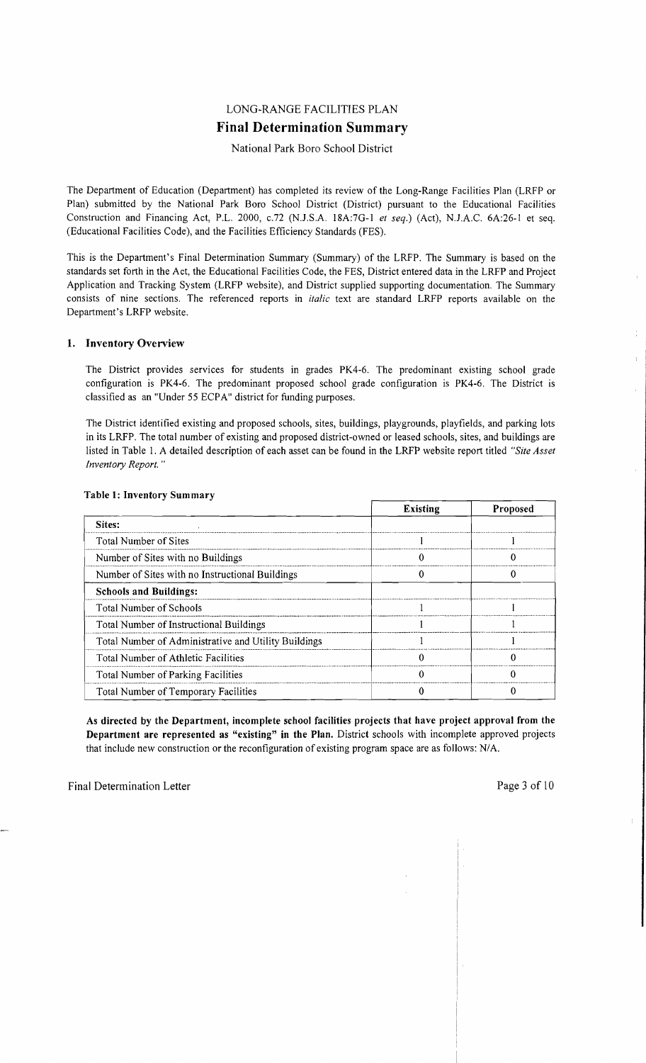## LONG-RANGE FACILITIES PLAN **Final Determination Summary**

#### National Park Boro School District

The Department of Education (Department) has completed its review of the Long-Range Facilities Plan (LRFP or Plan) submitted by the National Park Boro School District (District) pursuant to the Educational Facilities Construction and Financing Act, P.L. 2000, *c.n* (N.J.S.A. 18A:7G-I *et seq.)* (Act), N.J.A.C. 6A:26-1 et seq. (Educational Facilities Code), and the Facilities Efficiency Standards (FES).

This is the Department's Final Determination Summary (Summary) of the LRFP. The Summary is based on the standards set forth in the Act, the Educational Facilities Code, the FES, District entered data in the LRFP and Project Application and Tracking System (LRFP website), and District supplied supporting documentation. The Summary consists of nine sections. The referenced reports in *italic* text are standard LRFP reports available on the Department's LRFP website.

#### 1. Inventory Overview

The District provides services for students in grades PK4-6. The predominant existing school grade configuration is PK4-6. The predominant proposed school grade configuration is PK4-6. The District is classified as an "Under 55 ECPA" district for funding purposes.

The District identified existing and proposed schools, sites, buildings, playgrounds, playfields, and parking lots in its LRFP. The total number of existing and proposed district-owned or leased schools, sites, and buildings are listed in Table I. A detailed description of each asset can be found in the LRFP website report titled *"Site Asset Inventory Report. "* 

|                                                      | <b>Existing</b> | Proposed |
|------------------------------------------------------|-----------------|----------|
| Sites:                                               |                 |          |
| Total Number of Sites                                |                 |          |
| Number of Sites with no Buildings                    |                 |          |
| Number of Sites with no Instructional Buildings      |                 |          |
| <b>Schools and Buildings:</b>                        |                 |          |
| Total Number of Schools                              |                 |          |
| Total Number of Instructional Buildings              |                 |          |
| Total Number of Administrative and Utility Buildings |                 |          |
| <b>Total Number of Athletic Facilities</b>           |                 |          |
| Total Number of Parking Facilities                   |                 |          |
| Total Number of Temporary Facilities                 |                 |          |

#### Table 1: Inventory Summary

As directed by the Department, incomplete school facilities projects that have project approval from the Department are represented as "existing" in the Plan. District schools with incomplete approved projects that include new construction or the reconfiguration of existing program space are as follows: N/A.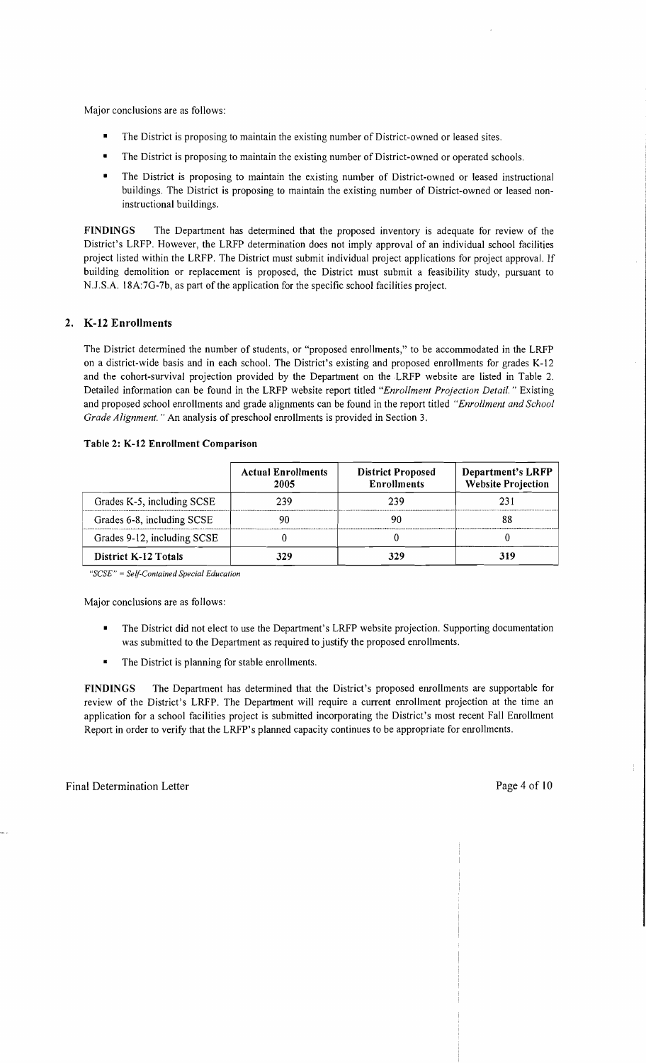Major conclusions are as follows:

- The District is proposing to maintain the existing number of District-owned or leased sites.
- The District is proposing to maintain the existing number of District-owned or operated schools.
- The District is proposing to maintain the existing number of District-owned or leased instructional buildings. The District is proposing to maintain the existing number of District-owned or leased noninstructional buildings.

**FINDINGS** The Department has determined that the proposed inventory is adequate for review of the District's LRFP. However, the LRFP determination does not imply approval of an individual school facilities project listed within the LRFP. The District must submit individual project applications for project approval. If building demolition or replacement is proposed, the District must submit a feasibility study, pursuant to NJ.S.A. l8A:7G-7b, as part of the application for the specific school facilities project.

#### **2. K-12 Enrollments**

The District determined the number of students, or "proposed enrollments," to be accommodated in the LRFP on a district-wide basis and in each school. The District's existing and proposed enrollments for grades K-12 and the cohort-survival projection provided by the Department on the LRFP website are listed in Table 2. Detailed information can be found in the LRFP website report titled *"Enrollment Projection Detail.* " Existing and proposed school enrollments and grade alignments can be found in the report titled *"Enrollment and School Grade Alignment.* " An analysis of preschool enrollments is provided in Section 3.

|                             | <b>Actual Enrollments</b><br>2005 | <b>District Proposed</b><br><b>Enrollments</b> | <b>Department's LRFP</b><br><b>Website Projection</b> |
|-----------------------------|-----------------------------------|------------------------------------------------|-------------------------------------------------------|
| Grades K-5, including SCSE  | 239                               | 239                                            | 231                                                   |
| Grades 6-8, including SCSE  |                                   |                                                |                                                       |
| Grades 9-12, including SCSE |                                   |                                                |                                                       |
| <b>District K-12 Totals</b> | 37.9                              |                                                | 319                                                   |

#### **Table 2: K-12 Enrollment Comparison**

*"SCSE"* = *Self-Contained Special Education* 

Major conclusions are as follows:

- The District did not elect to use the Department's LRFP website projection. Supporting documentation was submitted to the Department as required to justify the proposed enrollments.
- The District is planning for stable enrollments.

**FINDINGS** The Department has determined that the District's proposed enrollments are supportable for review of the District's LRFP. The Department will require a current enrollment projection at the time an application for a school facilities project is submitted incorporating the District's most recent Fall Enrollment Report in order to verify that the LRFP's planned capacity continues to be appropriate for enrollments.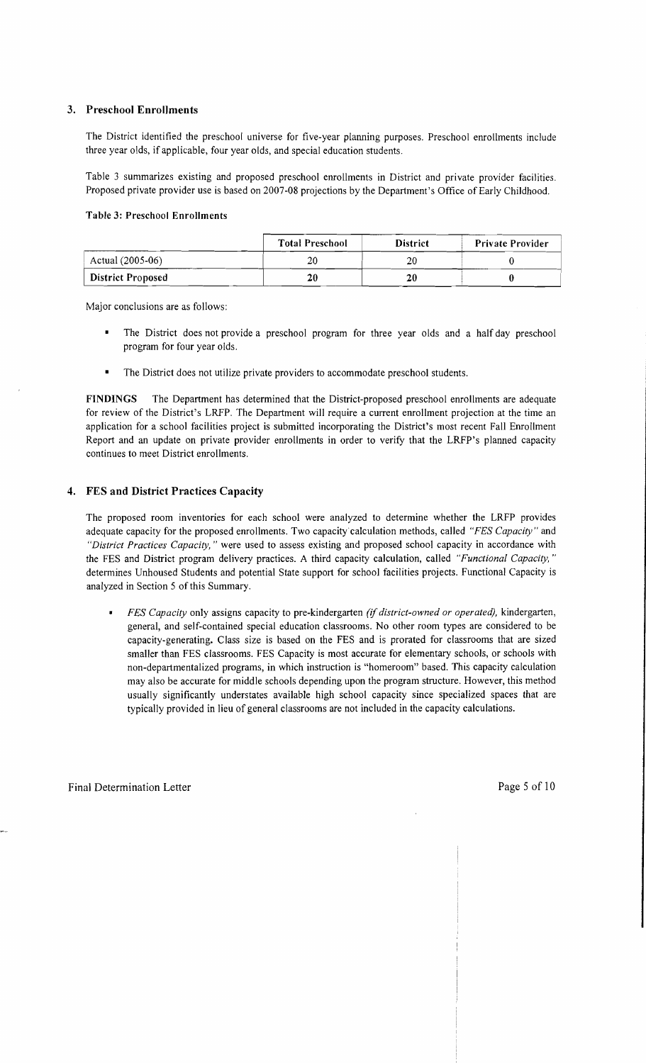### 3. Preschool Enrollments

The District identified the preschool universe for five-year planning purposes. Preschool enrollments include three year oids, if applicable, four year olds, and special education students.

Table 3 summarizes existing and proposed preschool enrollments in District and private provider facilities. Proposed private provider use is based on 2007-08 projections by the Department's Office of Early Childhood.

#### Table 3: Preschool Enrollments

|                          | <b>Total Preschool</b> | <b>District</b> | <b>Private Provider</b> |
|--------------------------|------------------------|-----------------|-------------------------|
| Actual (2005-06)         | 20                     | 20              |                         |
| <b>District Proposed</b> | 20                     | 20              |                         |

Major conclusions are as follows:

- The District does not provide a preschool program for three year olds and a half day preschool program for four year olds.
- The District does not utilize private providers to accommodate preschool students.

FINDINGS The Department has determined that the District-proposed preschool enrollments are adequate for review of the District's LRFP. The Department will require a current enrollment projection at the time an application for a school facilities project is submitted incorporating the District's most recent Fall Enrollment Report and an update on private provider enrollments in order to verify that the LRFP's planned capacity continues to meet District enrollments.

## 4. FES and District Practices Capacity

The proposed room inventories for each school were analyzed to determine whether the LRFP provides adequate capacity for the proposed enrollments. Two capacity calculation methods, called *"FES Capacity"* and *"District Practices Capacity,* " were used to assess existing and proposed school capacity in accordance with the FES and District program delivery practices. A third capacity calculation, called *"Functional Capacity, "*  detennines Unhoused Students and potential State support for school facilities projects. Functional Capacity is analyzed in Section 5 of this Summary.

*• FES Capacity* only assigns capacity to pre-kindergarten *(if district-owned or operated),* kindergarten, general, and self-contained special education classrooms. No other room types are considered to be capacity-generating. Class size is based on the FES and is prorated for classrooms that are sized smaller than FES classrooms. FES Capacity is most accurate for elementary schools, or schools with non-departmentalized programs, in which instruction is "homeroom" based. This capacity calculation may also be accurate for middle schools depending upon the program structure. However, this method usually significantly understates available high school capacity since specialized spaces that are typically provided in lieu of general classrooms are not included in the capacity calculations.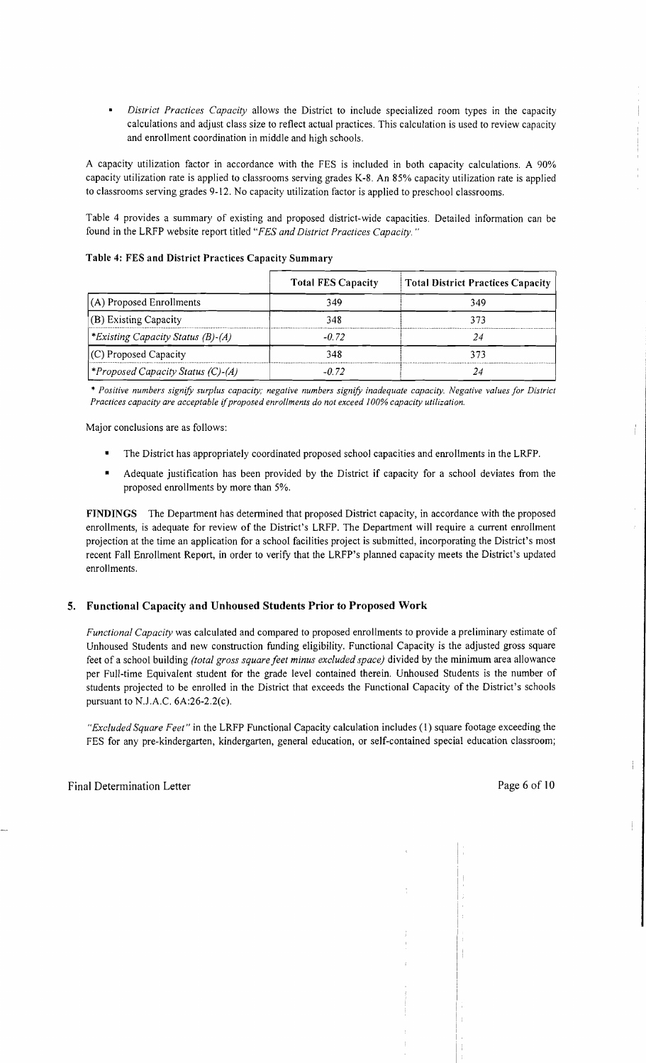$\bullet$ *District Practices Capacity* allows the District to include specialized room types in the capacity calculations and adjust class size to reflect actual practices. This calculation is used to review capacity and enrollment coordination in middle and high schools.

A capacity utilization factor in accordance with the FES is included in both capacity calculations. A 90% capacity utilization rate is applied to classrooms serving grades K-8. An 85% capacity utilization rate is applied to classrooms serving grades 9-12. No capacity utilization factor is applied to preschool classrooms.

Table 4 provides a summary of existing and proposed district-wide capacities. Detailed information can be found in the LRFP website report titled *"FES and District Practices Capacity. "* 

|                                          | <b>Total FES Capacity</b> | <b>Total District Practices Capacity</b> |
|------------------------------------------|---------------------------|------------------------------------------|
| (A) Proposed Enrollments                 | 349                       | 349                                      |
| (B) Existing Capacity                    | 348                       | 373                                      |
| <i>*Existing Capacity Status (B)-(A)</i> | $-0.72$                   |                                          |
| $(C)$ Proposed Capacity                  | 348                       | 373                                      |
| Proposed Capacity Status (C)-(A)*>       | -0.72                     |                                          |

Table 4: FES and District Practices Capacity Summary

\* *Positive numbers signify surplus capacity; negative numbers signify inadequate capacity. Negative values for District Practices capacity are acceptable ijproposed enrollments do not exceed 100% capacity utilization.* 

Major conclusions are as follows:

- The District has appropriately coordinated proposed school capacities and enrollments in the LRFP.
- Adequate justification has been provided by the District if capacity for a school deviates from the proposed enrollments by more than 5%.

FINDINGS The Department has determined that proposed District capacity, in accordance with the proposed enrollments, is adequate for review of the District's LRFP. The Department will require a current enrollment projection at the time an application for a school facilities project is submitted, incorporating the District's most recent Fall Enrollment Report, in order to verify that the LRFP's planned capacity meets the District's updated enrollments.

#### 5. Functional Capacity and Unhoused Students Prior to Proposed Work

*Functional Capacity* was calculated and compared to proposed enrollments to provide a preliminary estimate of Unhoused Students and new construction funding eligibility. Functional Capacity is the adjusted gross square feet of a school building *(total gross square feet minus excluded space)* divided by the minimum area allowance per Full-time Equivalent student for the grade level contained therein. Unhoused Students is the number of students projected to be enrolled in the District that exceeds the Functional Capacity of the District's schools pursuant to N.lA.C. 6A:26-2.2(c).

*"Excluded Square Feet"* in the LRFP Functional Capacity calculation includes (1) square footage exceeding the FES for any pre-kindergarten, kindergarten, general education, or self-contained special education classroom;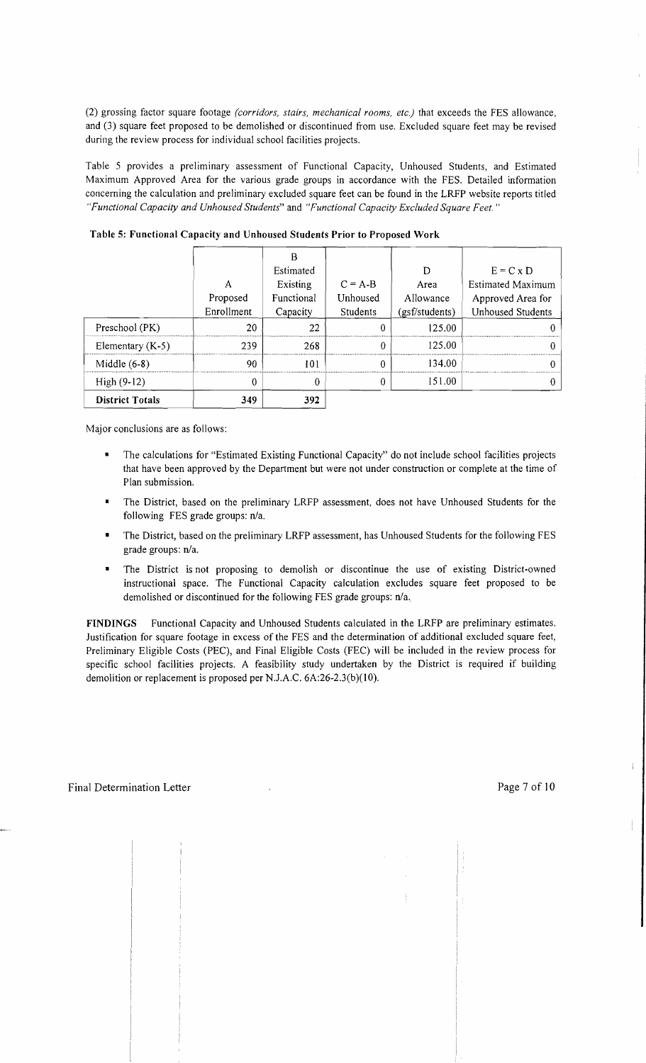(2) grossing factor square footage *(corridors, stairs, mechanical rooms, etc.)* that exceeds the FES allowance, and (3) square feet proposed to be demolished or discontinued from use. Excluded square feet may be revised during the review process for individual school facilities projects.

Table 5 provides a preliminary assessment of Functional Capacity, Unhoused Students, and Estimated Maximum Approved Area for the various grade groups in accordance with the FES. Detailed information concerning the calculation and preliminary excluded square feet can be found in the LRFP website reports titled *"Functional Capacity and Unhoused Students"* and *"Functional Capacity Excluded Square Feet. "* 

|                        |            | В          |           |                |                          |
|------------------------|------------|------------|-----------|----------------|--------------------------|
|                        |            | Estimated  |           | D              | $E = C \times D$         |
|                        | Α          | Existing   | $C = A-B$ | Area           | Estimated Maximum        |
|                        | Proposed   | Functional | Unhoused  | Allowance      | Approved Area for        |
|                        | Enrollment | Capacity   | Students  | (gsf/students) | <b>Unhoused Students</b> |
| Preschool (PK)         | 20         | 22         |           | 125.00         |                          |
| Elementary $(K-5)$     | 239        | 268        | ∩         | 125.00         |                          |
| Middle $(6-8)$         | 90         | 101        | 0         | 134.00         |                          |
| $High(9-12)$           | 0          | 0          | 0         | 151.00         |                          |
| <b>District Totals</b> | 349        | 392        |           |                |                          |

Table 5: Functional Capacity and Unhoused Students Prior to Proposed Work

Major conclusions are as follows:

- The calculations for "Estimated Existing Functional Capacity" do not include school facilities projects that have been approved by the Department but were not under construction or complete at the time of Plan submission.
- The District, based on the preliminary LRFP assessment, does not have Unhoused Students for the following FES grade groups: n/a.
- The District, based on the preliminary LRFP assessment, has Unhoused Students for the following FES grade groups: n/a.
- The District is not proposing to demolish or discontinue the use of existing District-owned instructional space. The Functional Capacity calculation excludes square feet proposed to be demolished or discontinued for the following FES grade groups: n/a..

FINDINGS Functional Capacity and Unhoused Students calculated in the LRFP are preliminary estimates. Justification for square footage in excess of the FES and the determination of additional excluded square feet, Preliminary Eligible Costs (PEC), and Final Eligible Costs (FEC) will be included in the review process for specific school facilities projects. A feasibility study undertaken by the District is required if building demolition or replacement is proposed per N.J.A.C. 6A:26-2.3(b)(10).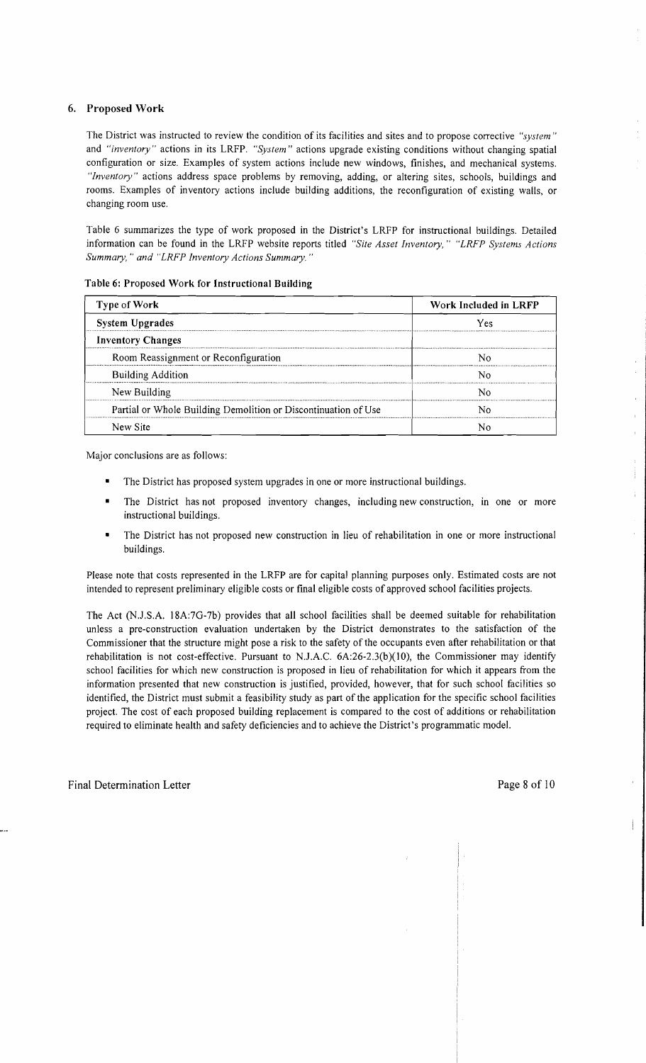## 6. Proposed Work

The District was instructed to review the condition of its facilities and sites and to propose corrective *"system"*  and *"inventory"* actions in its LRFP. *"System"* actions upgrade existing conditions without changing spatial configuration or size. Examples of system actions include new windows, finishes, and mechanical systems. *"Inventory"* actions address space problems by removing, adding, or altering sites, schools, buildings and rooms. Examples of inventory actions include building additions, the reconfiguration of existing walls, or changing room use.

Table 6 summarizes the type of work proposed in the District's LRFP for instructional buildings. Detailed information can be found in the LRFP website reports titled *"Site Asset Inventory," "LRFP Systems Actions Summary,* " *and "LRFP Inventory Actions Summary. "* 

| Type of Work                                                   | Work Included in LRFP |  |  |
|----------------------------------------------------------------|-----------------------|--|--|
| <b>System Upgrades</b>                                         | Yes                   |  |  |
| <b>Inventory Changes</b>                                       |                       |  |  |
| Room Reassignment or Reconfiguration                           |                       |  |  |
| <b>Building Addition</b>                                       |                       |  |  |
| New Building                                                   |                       |  |  |
| Partial or Whole Building Demolition or Discontinuation of Use |                       |  |  |
| New Site                                                       |                       |  |  |

Table 6: Proposed Work for Instructional Building

Major conclusions are as follows:

- The District has proposed system upgrades in one or more instructional buildings.
- The District has not proposed inventory changes, including new construction, in one or more instructional buildings.
- The District has not proposed new construction in lieu of rehabilitation in one or more instructional buildings.

Please note that costs represented in the LRFP are for capital planning purposes only. Estimated costs are not intended to represent preliminary eligible costs or fmal eligible costs of approved school facilities projects.

The Act (NJ.S.A. 18A:7G-7b) provides that all school facilities shall be deemed suitable for rehabilitation unless a pre-construction evaluation undertaken by the District demonstrates to the satisfaction of the Commissioner that the structure might pose a risk to the safety of the occupants even after rehabilitation or that rehabilitation is not cost-effective. Pursuant to NJ.A.C. 6A:26-2.3(b)(IO), the Commissioner may identify school facilities for which new construction is proposed in lieu of rehabilitation for which it appears from the information presented that new construction is justified, provided, however, that for such school facilities so identified, the District must submit a feasibility study as part of the application for the specific school facilities project. The cost of each proposed building replacement is compared to the cost of additions or rehabilitation required to eliminate health and safety deficiencies and to achieve the District's programmatic model.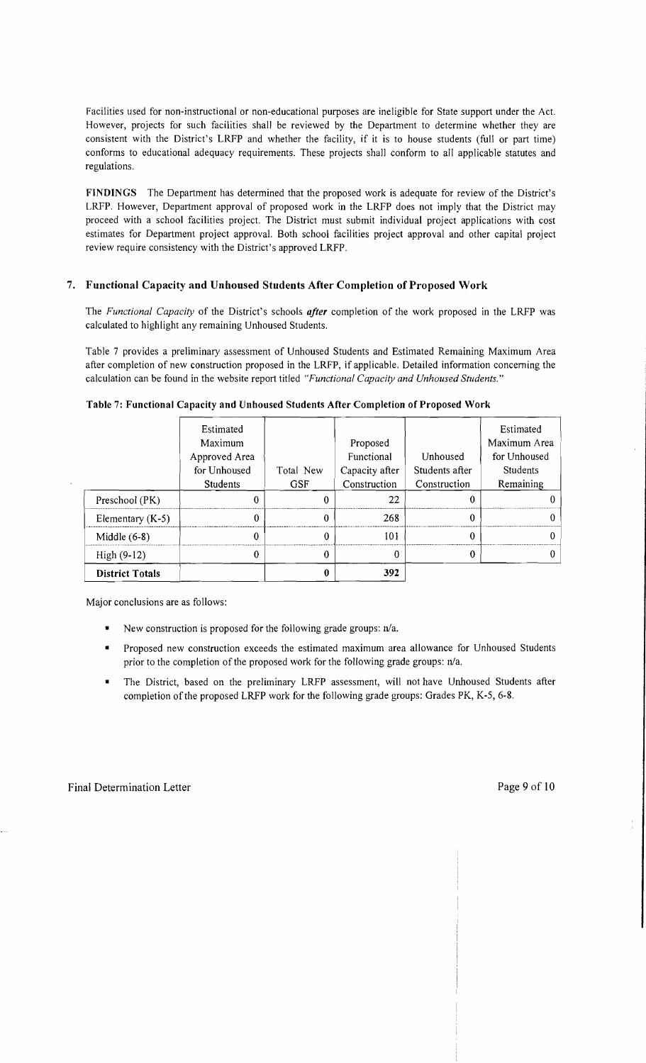Facilities used for non-instructional or non-educational purposes are ineligible for State support under the Act. However, projects for such facilities shall be reviewed by the Department to determine whether they are consistent with the District's LRFP and whether the facility, if it is to house students (full or part time) conforms to educational adequacy requirements. These projects shall conform to all applicable statutes and regulations.

FINDINGS The Department has determined that the proposed work is adequate for review of the District's LRFP. However, Department approval of proposed work in the LRFP does not imply that the District may proceed with a school facilities project. The District must submit individual project applications with cost estimates for Department project approval. Both school facilities project approval and other capital project review require consistency with the District's approved LRFP.

### 7. Functional Capacity and Unhoused Students After Completion of Proposed Work

The *Functional Capacity* of the District's schools *after* completion of the work proposed in the LRFP was calculated to highlight any remaining Unhoused Students.

Table 7 provides a preliminary assessment of Unhoused Students and Estimated Remaining Maximum Area after completion of new construction proposed in the LRFP, if applicable. Detailed information concerning the calculation can be found in the website report titled *"Functional Capacity and Unhoused Students."* 

|                        | Estimated<br>Maximum<br>Approved Area<br>for Unhoused | Total New  | Proposed<br>Functional<br>Capacity after | Unhoused<br>Students after | Estimated<br>Maximum Area<br>for Unhoused<br><b>Students</b> |
|------------------------|-------------------------------------------------------|------------|------------------------------------------|----------------------------|--------------------------------------------------------------|
|                        | <b>Students</b>                                       | <b>GSF</b> | Construction                             | Construction               | Remaining                                                    |
| Preschool (PK)         |                                                       |            | 22                                       |                            |                                                              |
| Elementary $(K-5)$     |                                                       |            | 268                                      |                            |                                                              |
| Middle $(6-8)$         |                                                       |            | 101                                      |                            |                                                              |
| $High (9-12)$          |                                                       |            |                                          |                            |                                                              |
| <b>District Totals</b> |                                                       |            | 392                                      |                            |                                                              |

Table 7: Functional Capacity and Unhoused Students After Completion of Proposed Work

Major conclusions are as follows:

- New construction is proposed for the following grade groups:  $n/a$ .
- Proposed new construction exceeds the estimated maximum area allowance for Unhoused Students prior to the completion of the proposed work for the following grade groups:  $n/a$ .
- The District, based on the preliminary LRFP assessment, will not have Unhoused Students after completion of the proposed LRFP work for the following grade groups: Grades PK, K-5, 6-8.